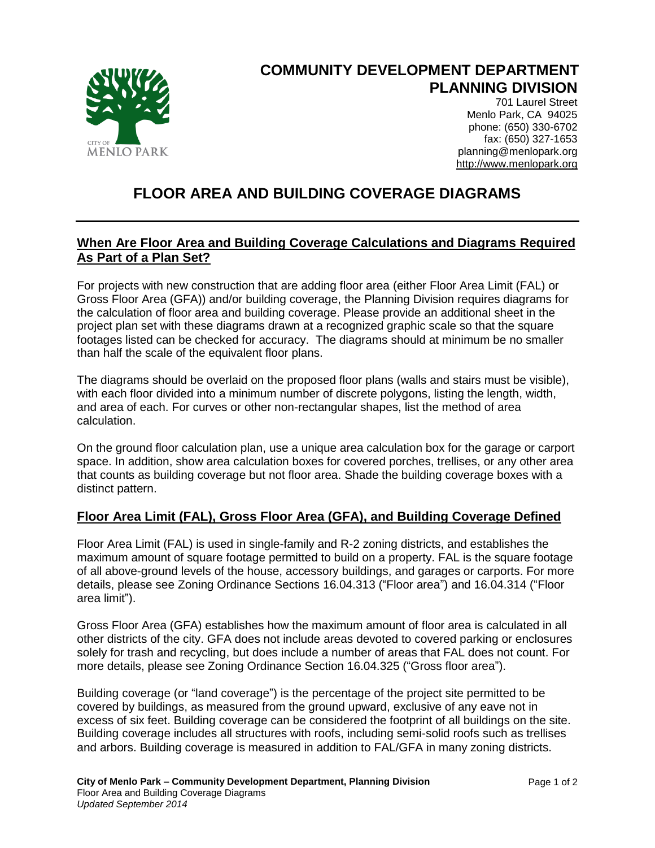

## **COMMUNITY DEVELOPMENT DEPARTMENT PLANNING DIVISION**

701 Laurel Street Menlo Park, CA 94025 phone: (650) 330-6702 fax: (650) 327-1653 planning@menlopark.org http://www.menlopark.org

## **FLOOR AREA AND BUILDING COVERAGE DIAGRAMS**

## **When Are Floor Area and Building Coverage Calculations and Diagrams Required As Part of a Plan Set?**

For projects with new construction that are adding floor area (either Floor Area Limit (FAL) or Gross Floor Area (GFA)) and/or building coverage, the Planning Division requires diagrams for the calculation of floor area and building coverage. Please provide an additional sheet in the project plan set with these diagrams drawn at a recognized graphic scale so that the square footages listed can be checked for accuracy. The diagrams should at minimum be no smaller than half the scale of the equivalent floor plans.

The diagrams should be overlaid on the proposed floor plans (walls and stairs must be visible), with each floor divided into a minimum number of discrete polygons, listing the length, width, and area of each. For curves or other non-rectangular shapes, list the method of area calculation.

On the ground floor calculation plan, use a unique area calculation box for the garage or carport space. In addition, show area calculation boxes for covered porches, trellises, or any other area that counts as building coverage but not floor area. Shade the building coverage boxes with a distinct pattern.

## **Floor Area Limit (FAL), Gross Floor Area (GFA), and Building Coverage Defined**

Floor Area Limit (FAL) is used in single-family and R-2 zoning districts, and establishes the maximum amount of square footage permitted to build on a property. FAL is the square footage of all above-ground levels of the house, accessory buildings, and garages or carports. For more details, please see Zoning Ordinance Sections 16.04.313 ("Floor area") and 16.04.314 ("Floor area limit").

Gross Floor Area (GFA) establishes how the maximum amount of floor area is calculated in all other districts of the city. GFA does not include areas devoted to covered parking or enclosures solely for trash and recycling, but does include a number of areas that FAL does not count. For more details, please see Zoning Ordinance Section 16.04.325 ("Gross floor area").

Building coverage (or "land coverage") is the percentage of the project site permitted to be covered by buildings, as measured from the ground upward, exclusive of any eave not in excess of six feet. Building coverage can be considered the footprint of all buildings on the site. Building coverage includes all structures with roofs, including semi-solid roofs such as trellises and arbors. Building coverage is measured in addition to FAL/GFA in many zoning districts.